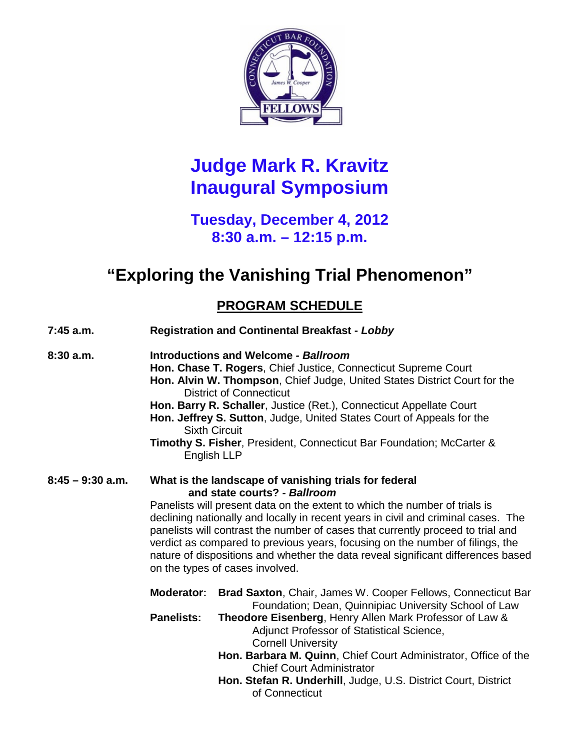

# **Judge Mark R. Kravitz Inaugural Symposium**

## **Tuesday, December 4, 2012 8:30 a.m. – 12:15 p.m.**

# **"Exploring the Vanishing Trial Phenomenon"**

## **PROGRAM SCHEDULE**

| 7:45 a.m.          | <b>Registration and Continental Breakfast - Lobby</b>                                                                                                                                                                                                                                                                                                                                                                                                                                                                                               |                                                                                                                                                                                                                                                                                                                                                                                                                                                       |
|--------------------|-----------------------------------------------------------------------------------------------------------------------------------------------------------------------------------------------------------------------------------------------------------------------------------------------------------------------------------------------------------------------------------------------------------------------------------------------------------------------------------------------------------------------------------------------------|-------------------------------------------------------------------------------------------------------------------------------------------------------------------------------------------------------------------------------------------------------------------------------------------------------------------------------------------------------------------------------------------------------------------------------------------------------|
| 8:30a.m.           | Introductions and Welcome - Ballroom<br>Hon. Chase T. Rogers, Chief Justice, Connecticut Supreme Court<br>Hon. Alvin W. Thompson, Chief Judge, United States District Court for the<br><b>District of Connecticut</b><br>Hon. Barry R. Schaller, Justice (Ret.), Connecticut Appellate Court<br>Hon. Jeffrey S. Sutton, Judge, United States Court of Appeals for the<br><b>Sixth Circuit</b><br>Timothy S. Fisher, President, Connecticut Bar Foundation; McCarter &<br>English LLP                                                                |                                                                                                                                                                                                                                                                                                                                                                                                                                                       |
| $8:45 - 9:30$ a.m. | What is the landscape of vanishing trials for federal<br>and state courts? - Ballroom<br>Panelists will present data on the extent to which the number of trials is<br>declining nationally and locally in recent years in civil and criminal cases. The<br>panelists will contrast the number of cases that currently proceed to trial and<br>verdict as compared to previous years, focusing on the number of filings, the<br>nature of dispositions and whether the data reveal significant differences based<br>on the types of cases involved. |                                                                                                                                                                                                                                                                                                                                                                                                                                                       |
|                    | <b>Moderator:</b><br><b>Panelists:</b>                                                                                                                                                                                                                                                                                                                                                                                                                                                                                                              | Brad Saxton, Chair, James W. Cooper Fellows, Connecticut Bar<br>Foundation; Dean, Quinnipiac University School of Law<br>Theodore Eisenberg, Henry Allen Mark Professor of Law &<br>Adjunct Professor of Statistical Science,<br><b>Cornell University</b><br>Hon. Barbara M. Quinn, Chief Court Administrator, Office of the<br><b>Chief Court Administrator</b><br>Hon. Stefan R. Underhill, Judge, U.S. District Court, District<br>of Connecticut |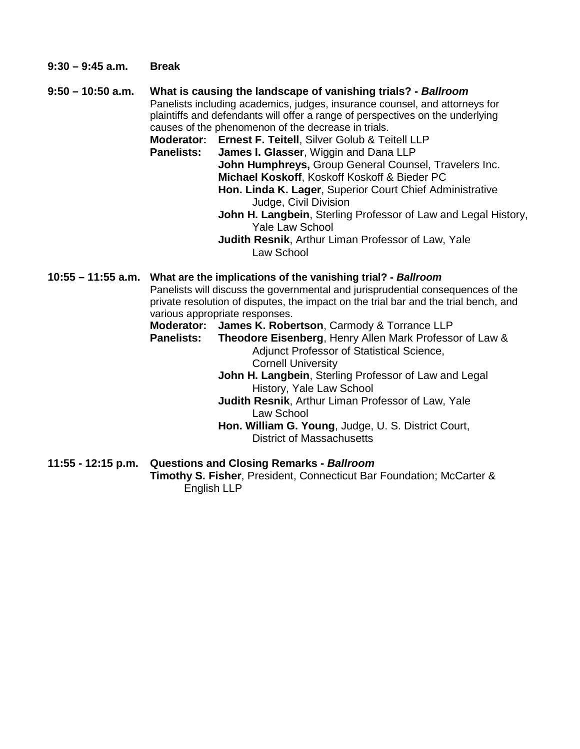- **9:30 – 9:45 a.m. Break**
- **9:50 – 10:50 a.m. What is causing the landscape of vanishing trials? -** *Ballroom* Panelists including academics, judges, insurance counsel, and attorneys for plaintiffs and defendants will offer a range of perspectives on the underlying causes of the phenomenon of the decrease in trials. **Moderator: Ernest F. Teitell**, Silver Golub & Teitell LLP

**James I. Glasser, Wiggin and Dana LLP John Humphreys,** Group General Counsel, Travelers Inc. **Michael Koskoff**, Koskoff Koskoff & Bieder PC **Hon. Linda K. Lager**, Superior Court Chief Administrative Judge, Civil Division **John H. Langbein**, Sterling Professor of Law and Legal History,

Yale Law School

**Judith Resnik**, Arthur Liman Professor of Law, Yale Law School

#### **10:55 – 11:55 a.m. What are the implications of the vanishing trial? -** *Ballroom*

Panelists will discuss the governmental and jurisprudential consequences of the private resolution of disputes, the impact on the trial bar and the trial bench, and various appropriate responses.

# **Moderator: James K. Robertson**, Carmody & Torrance LLP

**Theodore Eisenberg, Henry Allen Mark Professor of Law &** Adjunct Professor of Statistical Science, Cornell University

> **John H. Langbein**, Sterling Professor of Law and Legal History, Yale Law School

**Judith Resnik**, Arthur Liman Professor of Law, Yale Law School

**Hon. William G. Young**, Judge, U. S. District Court, District of Massachusetts

#### **11:55 - 12:15 p.m. Questions and Closing Remarks -** *Ballroom*

**Timothy S. Fisher**, President, Connecticut Bar Foundation; McCarter & English LLP